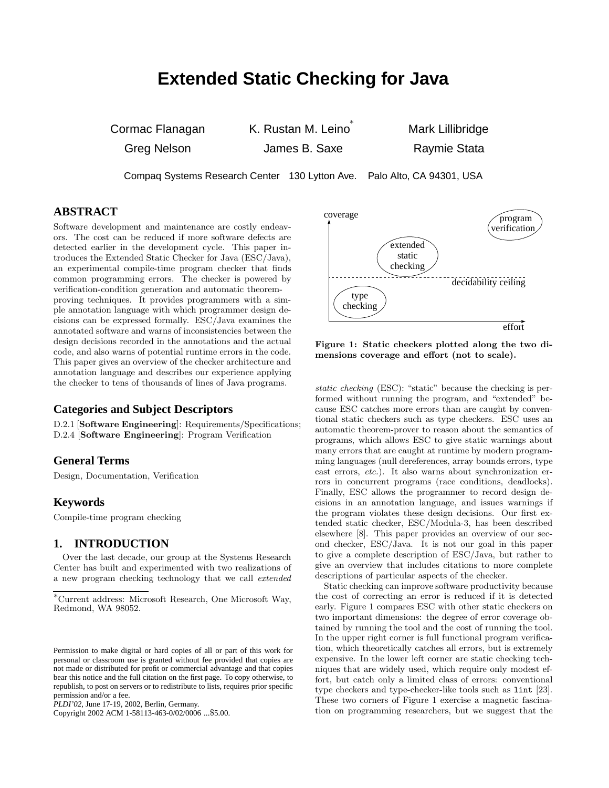# **Extended Static Checking for Java**

Cormac Flanagan K. Rustan M. Leino Greg Nelson **James B. Saxe** Raymie Stata

Mark Lillibridge

Compaq Systems Research Center 130 Lytton Ave. Palo Alto, CA 94301, USA

# **ABSTRACT**

Software development and maintenance are costly endeavors. The cost can be reduced if more software defects are detected earlier in the development cycle. This paper introduces the Extended Static Checker for Java (ESC/Java), an experimental compile-time program checker that finds common programming errors. The checker is powered by verification-condition generation and automatic theoremproving techniques. It provides programmers with a simple annotation language with which programmer design decisions can be expressed formally. ESC/Java examines the annotated software and warns of inconsistencies between the design decisions recorded in the annotations and the actual code, and also warns of potential runtime errors in the code. This paper gives an overview of the checker architecture and annotation language and describes our experience applying the checker to tens of thousands of lines of Java programs.

## **Categories and Subject Descriptors**

D.2.1 [**Software Engineering**]: Requirements/Specifications; D.2.4 [**Software Engineering**]: Program Verification

#### **General Terms**

Design, Documentation, Verification

## **Keywords**

Compile-time program checking

## **1. INTRODUCTION**

Over the last decade, our group at the Systems Research Center has built and experimented with two realizations of a new program checking technology that we call *extended*

Copyright 2002 ACM 1-58113-463-0/02/0006 ...\$5.00.



**Figure 1: Static checkers plotted along the two dimensions coverage and effort (not to scale).**

*static checking* (ESC): "static" because the checking is performed without running the program, and "extended" because ESC catches more errors than are caught by conventional static checkers such as type checkers. ESC uses an automatic theorem-prover to reason about the semantics of programs, which allows ESC to give static warnings about many errors that are caught at runtime by modern programming languages (null dereferences, array bounds errors, type cast errors, *etc.*). It also warns about synchronization errors in concurrent programs (race conditions, deadlocks). Finally, ESC allows the programmer to record design decisions in an annotation language, and issues warnings if the program violates these design decisions. Our first extended static checker, ESC/Modula-3, has been described elsewhere [8]. This paper provides an overview of our second checker, ESC/Java. It is not our goal in this paper to give a complete description of ESC/Java, but rather to give an overview that includes citations to more complete descriptions of particular aspects of the checker.

Static checking can improve software productivity because the cost of correcting an error is reduced if it is detected early. Figure 1 compares ESC with other static checkers on two important dimensions: the degree of error coverage obtained by running the tool and the cost of running the tool. In the upper right corner is full functional program verification, which theoretically catches all errors, but is extremely expensive. In the lower left corner are static checking techniques that are widely used, which require only modest effort, but catch only a limited class of errors: conventional type checkers and type-checker-like tools such as  $1int [23]$ . These two corners of Figure 1 exercise a magnetic fascination on programming researchers, but we suggest that the

<sup>∗</sup>Current address: Microsoft Research, One Microsoft Way, Redmond, WA 98052.

Permission to make digital or hard copies of all or part of this work for personal or classroom use is granted without fee provided that copies are not made or distributed for profit or commercial advantage and that copies bear this notice and the full citation on the first page. To copy otherwise, to republish, to post on servers or to redistribute to lists, requires prior specific permission and/or a fee.

*PLDI'02,* June 17-19, 2002, Berlin, Germany.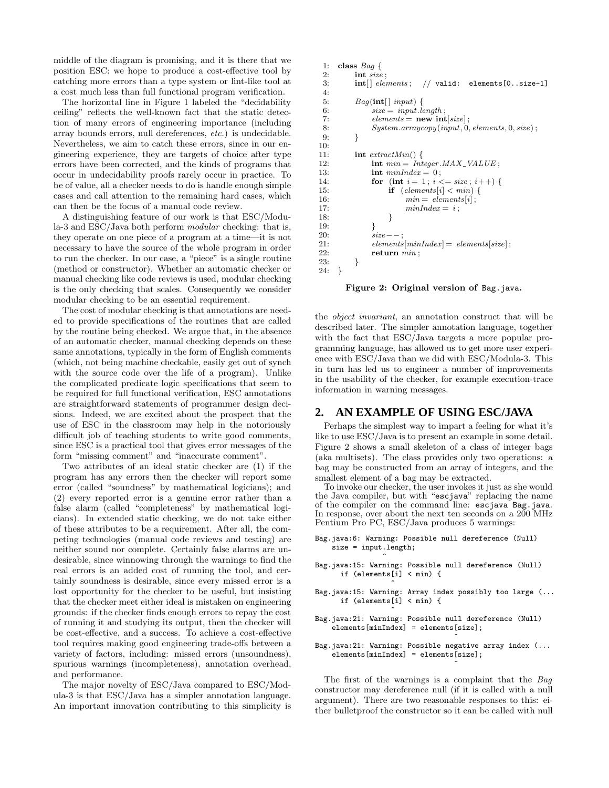middle of the diagram is promising, and it is there that we position ESC: we hope to produce a cost-effective tool by catching more errors than a type system or lint-like tool at a cost much less than full functional program verification.

The horizontal line in Figure 1 labeled the "decidability ceiling" reflects the well-known fact that the static detection of many errors of engineering importance (including array bounds errors, null dereferences, *etc.*) is undecidable. Nevertheless, we aim to catch these errors, since in our engineering experience, they are targets of choice after type errors have been corrected, and the kinds of programs that occur in undecidability proofs rarely occur in practice. To be of value, all a checker needs to do is handle enough simple cases and call attention to the remaining hard cases, which can then be the focus of a manual code review.

A distinguishing feature of our work is that ESC/Modula-3 and ESC/Java both perform *modular* checking: that is, they operate on one piece of a program at a time—it is not necessary to have the source of the whole program in order to run the checker. In our case, a "piece" is a single routine (method or constructor). Whether an automatic checker or manual checking like code reviews is used, modular checking is the only checking that scales. Consequently we consider modular checking to be an essential requirement.

The cost of modular checking is that annotations are needed to provide specifications of the routines that are called by the routine being checked. We argue that, in the absence of an automatic checker, manual checking depends on these same annotations, typically in the form of English comments (which, not being machine checkable, easily get out of synch with the source code over the life of a program). Unlike the complicated predicate logic specifications that seem to be required for full functional verification, ESC annotations are straightforward statements of programmer design decisions. Indeed, we are excited about the prospect that the use of ESC in the classroom may help in the notoriously difficult job of teaching students to write good comments, since ESC is a practical tool that gives error messages of the form "missing comment" and "inaccurate comment".

Two attributes of an ideal static checker are (1) if the program has any errors then the checker will report some error (called "soundness" by mathematical logicians); and (2) every reported error is a genuine error rather than a false alarm (called "completeness" by mathematical logicians). In extended static checking, we do not take either of these attributes to be a requirement. After all, the competing technologies (manual code reviews and testing) are neither sound nor complete. Certainly false alarms are undesirable, since winnowing through the warnings to find the real errors is an added cost of running the tool, and certainly soundness is desirable, since every missed error is a lost opportunity for the checker to be useful, but insisting that the checker meet either ideal is mistaken on engineering grounds: if the checker finds enough errors to repay the cost of running it and studying its output, then the checker will be cost-effective, and a success. To achieve a cost-effective tool requires making good engineering trade-offs between a variety of factors, including: missed errors (unsoundness), spurious warnings (incompleteness), annotation overhead, and performance.

The major novelty of ESC/Java compared to ESC/Modula-3 is that ESC/Java has a simpler annotation language. An important innovation contributing to this simplicity is

```
1: class Bag \{<br>2: int size
 2: int size;<br>3: int[] elements;
                                 3: int[ ] elements ; // valid: elements[0..size-1]
 4:
 5: Bag(int[] input) \{6: Size = input.6: size = input.length;<br>7. elements = new int7: elements = new int[size];<br>8: Sustem.array.com/(innut.0.)
           8: System.arraycopy(input, 0, elements, 0, size) ;
 9: }
10:
11: int extractMin() {<br>12: int min = Int\text{int } min = \text{Integer}.MAX\_VALUE;13: int minIndex = 0;
14: for (int \, i = 1; \, i \leq s \, \text{size}; \, i++) {<br>15: if (elements[i] \leq min) {
15: if \{elements[i] < min\} \{<br>16: min = elements[i]:
                            min = elements[i];
17: minIndex = i;18: }
19: }
20: size −−;<br>21: elements
                 elements[minIndex] = elements[size];
22: return min ;
23: }
24: }
```
**Figure 2: Original version of** Bag.java**.**

the *object invariant*, an annotation construct that will be described later. The simpler annotation language, together with the fact that ESC/Java targets a more popular programming language, has allowed us to get more user experience with ESC/Java than we did with ESC/Modula-3. This in turn has led us to engineer a number of improvements in the usability of the checker, for example execution-trace information in warning messages.

#### **2. AN EXAMPLE OF USING ESC/JAVA**

Perhaps the simplest way to impart a feeling for what it's like to use ESC/Java is to present an example in some detail. Figure 2 shows a small skeleton of a class of integer bags (aka multisets). The class provides only two operations: a bag may be constructed from an array of integers, and the smallest element of a bag may be extracted.

To invoke our checker, the user invokes it just as she would the Java compiler, but with "escjava" replacing the name of the compiler on the command line: escjava Bag.java. In response, over about the next ten seconds on a 200 MHz Pentium Pro PC, ESC/Java produces 5 warnings:

Bag.java:6: Warning: Possible null dereference (Null) size = input.length;

 $\hat{ }$ 

 $\hat{ }$ 

- Bag.java:15: Warning: Possible null dereference (Null) if (elements[i] < min) {
- Bag.java:15: Warning: Array index possibly too large (... if (elements[i] < min) {
- $\hat{ }$ Bag.java:21: Warning: Possible null dereference (Null) elements[minIndex] = elements[size];
- $\hat{ }$ Bag.java:21: Warning: Possible negative array index (... elements[minIndex] = elements[size];

 $\hat{ }$ 

The first of the warnings is a complaint that the *Bag* constructor may dereference null (if it is called with a null argument). There are two reasonable responses to this: either bulletproof the constructor so it can be called with null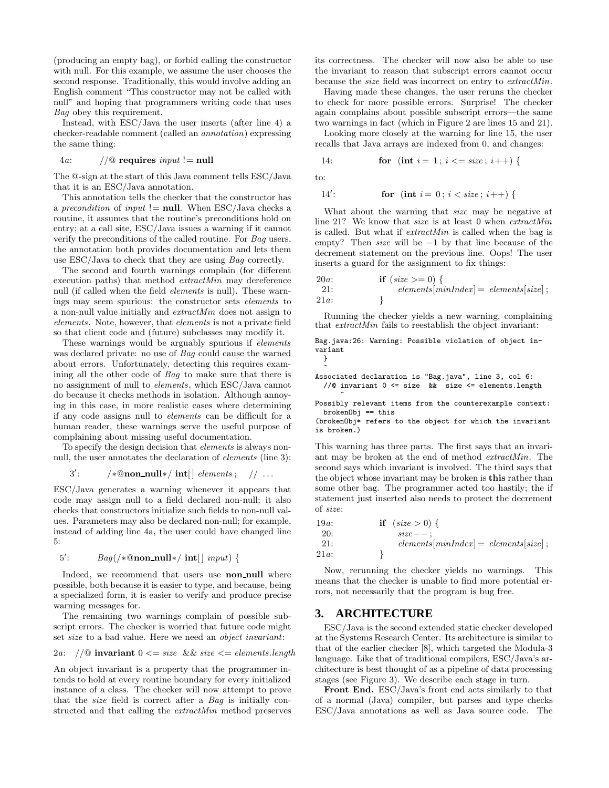(producing an empty bag), or forbid calling the constructor with null. For this example, we assume the user chooses the second response. Traditionally, this would involve adding an English comment "This constructor may not be called with null" and hoping that programmers writing code that uses *Bag* obey this requirement.

Instead, with ESC/Java the user inserts (after line 4) a checker-readable comment (called an *annotation*) expressing the same thing:

4a: 
$$
//@ requires input != null
$$

The @-sign at the start of this Java comment tells ESC/Java that it is an ESC/Java annotation.

This annotation tells the checker that the constructor has a *precondition* of *input*  $!=$  **null**. When ESC/Java checks a routine, it assumes that the routine's preconditions hold on entry; at a call site, ESC/Java issues a warning if it cannot verify the preconditions of the called routine. For *Bag* users, the annotation both provides documentation and lets them use ESC/Java to check that they are using *Bag* correctly.

The second and fourth warnings complain (for different execution paths) that method *extractMin* may dereference null (if called when the field *elements* is null). These warnings may seem spurious: the constructor sets *elements* to a non-null value initially and *extractMin* does not assign to *elements*. Note, however, that *elements* is not a private field so that client code and (future) subclasses may modify it.

These warnings would be arguably spurious if *elements* was declared private: no use of *Bag* could cause the warned about errors. Unfortunately, detecting this requires examining all the other code of *Bag* to make sure that there is no assignment of null to *elements*, which ESC/Java cannot do because it checks methods in isolation. Although annoying in this case, in more realistic cases where determining if any code assigns null to *elements* can be difficult for a human reader, these warnings serve the useful purpose of complaining about missing useful documentation.

To specify the design decision that *elements* is always nonnull, the user annotates the declaration of *elements* (line 3):

3': 
$$
/*@non-null*/int[]
$$
 elements;  $//...$ 

ESC/Java generates a warning whenever it appears that code may assign null to a field declared non-null; it also checks that constructors initialize such fields to non-null values. Parameters may also be declared non-null; for example, instead of adding line 4a, the user could have changed line 5:

5': 
$$
Bag(\n \times \mathcal{Q} \text{non-null} \n \times \n \int \mathbb{I} \cdot \text{input} \n \cdot \n \left( \frac{1}{2} \cdot \frac{1}{2} \cdot \frac{1}{2} \cdot \frac{1}{2} \cdot \frac{1}{2} \cdot \frac{1}{2} \cdot \frac{1}{2} \cdot \frac{1}{2} \cdot \frac{1}{2} \cdot \frac{1}{2} \cdot \frac{1}{2} \cdot \frac{1}{2} \cdot \frac{1}{2} \cdot \frac{1}{2} \cdot \frac{1}{2} \cdot \frac{1}{2} \cdot \frac{1}{2} \cdot \frac{1}{2} \cdot \frac{1}{2} \cdot \frac{1}{2} \cdot \frac{1}{2} \cdot \frac{1}{2} \cdot \frac{1}{2} \cdot \frac{1}{2} \cdot \frac{1}{2} \cdot \frac{1}{2} \cdot \frac{1}{2} \cdot \frac{1}{2} \cdot \frac{1}{2} \cdot \frac{1}{2} \cdot \frac{1}{2} \cdot \frac{1}{2} \cdot \frac{1}{2} \cdot \frac{1}{2} \cdot \frac{1}{2} \cdot \frac{1}{2} \cdot \frac{1}{2} \cdot \frac{1}{2} \cdot \frac{1}{2} \cdot \frac{1}{2} \cdot \frac{1}{2} \cdot \frac{1}{2} \cdot \frac{1}{2} \cdot \frac{1}{2} \cdot \frac{1}{2} \cdot \frac{1}{2} \cdot \frac{1}{2} \cdot \frac{1}{2} \cdot \frac{1}{2} \cdot \frac{1}{2} \cdot \frac{1}{2} \cdot \frac{1}{2} \cdot \frac{1}{2} \cdot \frac{1}{2} \cdot \frac{1}{2} \cdot \frac{1}{2} \cdot \frac{1}{2} \cdot \frac{1}{2} \cdot \frac{1}{2} \cdot \frac{1}{2} \cdot \frac{1}{2} \cdot \frac{1}{2} \cdot \frac{1}{2} \cdot \frac{1}{2} \cdot \frac{1}{2} \cdot \frac{1}{2} \cdot \frac{1}{2} \cdot \frac{1}{2} \cdot \frac{1}{2} \cdot \frac{1}{2} \cdot \frac{1}{2} \cdot \frac{1}{2} \cdot \frac{1}{2} \cdot \frac{1}{2} \cdot \frac{1}{2} \cdot \frac{1}{2} \cdot \frac{1}{2} \cdot \frac{1}{2} \cdot \frac{1}{2} \cdot \frac
$$

Indeed, we recommend that users use **non null** where possible, both because it is easier to type, and because, being a specialized form, it is easier to verify and produce precise warning messages for.

The remaining two warnings complain of possible subscript errors. The checker is worried that future code might set *size* to a bad value. Here we need an *object invariant*:

2a: 
$$
/\sqrt{2}
$$
 invariant  $0 \leq size \&& size \leq elements.length$ 

An object invariant is a property that the programmer intends to hold at every routine boundary for every initialized instance of a class. The checker will now attempt to prove that the *size* field is correct after a *Bag* is initially constructed and that calling the *extractMin* method preserves its correctness. The checker will now also be able to use the invariant to reason that subscript errors cannot occur because the *size* field was incorrect on entry to *extractMin*.

Having made these changes, the user reruns the checker to check for more possible errors. Surprise! The checker again complains about possible subscript errors—the same two warnings in fact (which in Figure 2 are lines 15 and 21).

Looking more closely at the warning for line 15, the user recalls that Java arrays are indexed from 0, and changes:

14: **for** (int 
$$
i = 1
$$
;  $i \leq size$ ;  $i++$ ) {

to:

 $14'$ 

$$
for (int i = 0; i < size; i++) \{
$$

What about the warning that *size* may be negative at line 21? We know that *size* is at least 0 when *extractMin* is called. But what if *extractMin* is called when the bag is empty? Then *size* will be −1 by that line because of the decrement statement on the previous line. Oops! The user inserts a guard for the assignment to fix things:

20a: if 
$$
(size \geq 0)
$$
 {  
21: elements[minIndex] = elements[size];  
21a:

Running the checker yields a new warning, complaining that *extractMin* fails to reestablish the object invariant:

Bag.java:26: Warning: Possible violation of object invariant }

 $\hat{ }$ Associated declaration is "Bag.java", line 3, col 6: //@ invariant 0 <= size && size <= elements.length

 $\hat{ }$ Possibly relevant items from the counterexample context: brokenObj == this

(brokenObj\* refers to the object for which the invariant is broken.)

This warning has three parts. The first says that an invariant may be broken at the end of method *extractMin*. The second says which invariant is involved. The third says that the object whose invariant may be broken is **this** rather than some other bag. The programmer acted too hastily; the if statement just inserted also needs to protect the decrement of *size*:

| $19a$ : | <b>if</b> $(size > 0)$ {                |
|---------|-----------------------------------------|
| 20:     | $size--$ :                              |
| 21:     | $elements[minIndex] = elements[size]$ ; |
| $21a$ : |                                         |

Now, rerunning the checker yields no warnings. This means that the checker is unable to find more potential errors, not necessarily that the program is bug free.

## **3. ARCHITECTURE**

ESC/Java is the second extended static checker developed at the Systems Research Center. Its architecture is similar to that of the earlier checker [8], which targeted the Modula-3 language. Like that of traditional compilers, ESC/Java's architecture is best thought of as a pipeline of data processing stages (see Figure 3). We describe each stage in turn.

**Front End.** ESC/Java's front end acts similarly to that of a normal (Java) compiler, but parses and type checks ESC/Java annotations as well as Java source code. The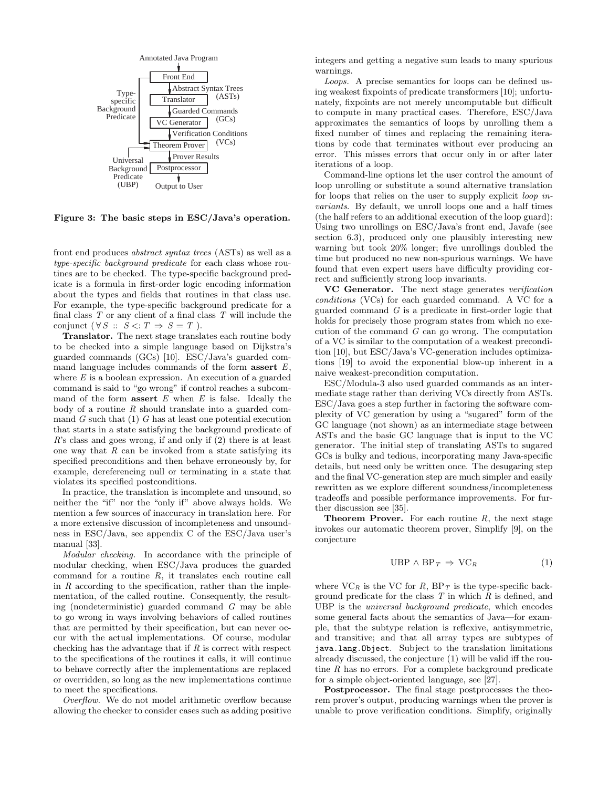

**Figure 3: The basic steps in ESC/Java's operation.**

front end produces *abstract syntax trees* (ASTs) as well as a *type-specific background predicate* for each class whose routines are to be checked. The type-specific background predicate is a formula in first-order logic encoding information about the types and fields that routines in that class use. For example, the type-specific background predicate for a final class *T* or any client of a final class *T* will include the conjunct  $(\forall S :: S < T \Rightarrow S = T)$ .

**Translator.** The next stage translates each routine body to be checked into a simple language based on Dijkstra's guarded commands (GCs) [10]. ESC/Java's guarded command language includes commands of the form **assert** *E*, where *E* is a boolean expression. An execution of a guarded command is said to "go wrong" if control reaches a subcommand of the form **assert** *E* when *E* is false. Ideally the body of a routine *R* should translate into a guarded command *G* such that (1) *G* has at least one potential execution that starts in a state satisfying the background predicate of *R*'s class and goes wrong, if and only if (2) there is at least one way that *R* can be invoked from a state satisfying its specified preconditions and then behave erroneously by, for example, dereferencing null or terminating in a state that violates its specified postconditions.

In practice, the translation is incomplete and unsound, so neither the "if" nor the "only if" above always holds. We mention a few sources of inaccuracy in translation here. For a more extensive discussion of incompleteness and unsoundness in ESC/Java, see appendix C of the ESC/Java user's manual [33].

*Modular checking.* In accordance with the principle of modular checking, when ESC/Java produces the guarded command for a routine *R*, it translates each routine call in *R* according to the specification, rather than the implementation, of the called routine. Consequently, the resulting (nondeterministic) guarded command *G* may be able to go wrong in ways involving behaviors of called routines that are permitted by their specification, but can never occur with the actual implementations. Of course, modular checking has the advantage that if *R* is correct with respect to the specifications of the routines it calls, it will continue to behave correctly after the implementations are replaced or overridden, so long as the new implementations continue to meet the specifications.

*Overflow.* We do not model arithmetic overflow because allowing the checker to consider cases such as adding positive

integers and getting a negative sum leads to many spurious warnings.

*Loops.* A precise semantics for loops can be defined using weakest fixpoints of predicate transformers [10]; unfortunately, fixpoints are not merely uncomputable but difficult to compute in many practical cases. Therefore, ESC/Java approximates the semantics of loops by unrolling them a fixed number of times and replacing the remaining iterations by code that terminates without ever producing an error. This misses errors that occur only in or after later iterations of a loop.

Command-line options let the user control the amount of loop unrolling or substitute a sound alternative translation for loops that relies on the user to supply explicit *loop invariants*. By default, we unroll loops one and a half times (the half refers to an additional execution of the loop guard): Using two unrollings on ESC/Java's front end, Javafe (see section 6.3), produced only one plausibly interesting new warning but took 20% longer; five unrollings doubled the time but produced no new non-spurious warnings. We have found that even expert users have difficulty providing correct and sufficiently strong loop invariants.

**VC Generator.** The next stage generates *verification conditions* (VCs) for each guarded command. A VC for a guarded command *G* is a predicate in first-order logic that holds for precisely those program states from which no execution of the command *G* can go wrong. The computation of a VC is similar to the computation of a weakest precondition [10], but ESC/Java's VC-generation includes optimizations [19] to avoid the exponential blow-up inherent in a naive weakest-precondition computation.

ESC/Modula-3 also used guarded commands as an intermediate stage rather than deriving VCs directly from ASTs. ESC/Java goes a step further in factoring the software complexity of VC generation by using a "sugared" form of the GC language (not shown) as an intermediate stage between ASTs and the basic GC language that is input to the VC generator. The initial step of translating ASTs to sugared GCs is bulky and tedious, incorporating many Java-specific details, but need only be written once. The desugaring step and the final VC-generation step are much simpler and easily rewritten as we explore different soundness/incompleteness tradeoffs and possible performance improvements. For further discussion see [35].

**Theorem Prover.** For each routine *R*, the next stage invokes our automatic theorem prover, Simplify [9], on the conjecture

$$
UBP \wedge BP_T \Rightarrow VC_R \tag{1}
$$

where  $VC<sub>R</sub>$  is the VC for *R*,  $BP<sub>T</sub>$  is the type-specific background predicate for the class *T* in which *R* is defined, and UBP is the *universal background predicate*, which encodes some general facts about the semantics of Java—for example, that the subtype relation is reflexive, antisymmetric, and transitive; and that all array types are subtypes of java.lang.Object. Subject to the translation limitations already discussed, the conjecture (1) will be valid iff the routine *R* has no errors. For a complete background predicate for a simple object-oriented language, see [27].

**Postprocessor.** The final stage postprocesses the theorem prover's output, producing warnings when the prover is unable to prove verification conditions. Simplify, originally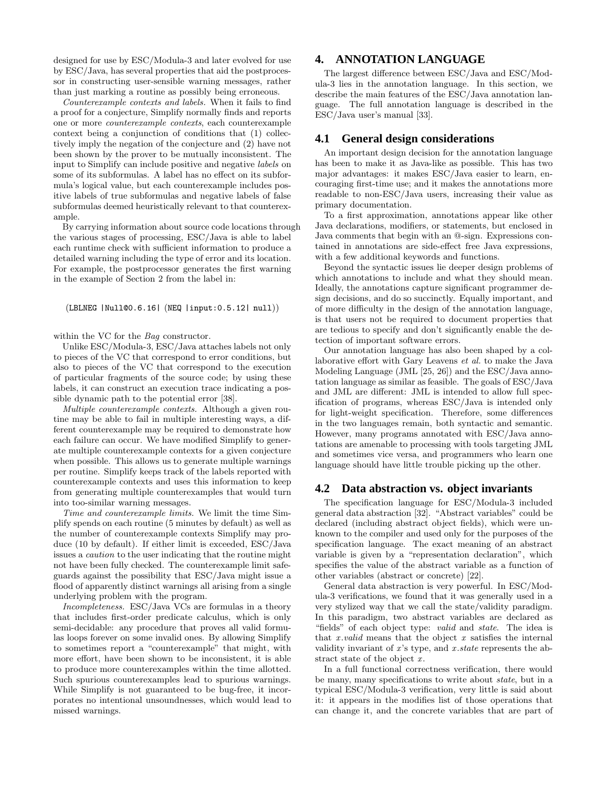designed for use by ESC/Modula-3 and later evolved for use by ESC/Java, has several properties that aid the postprocessor in constructing user-sensible warning messages, rather than just marking a routine as possibly being erroneous.

*Counterexample contexts and labels.* When it fails to find a proof for a conjecture, Simplify normally finds and reports one or more *counterexample contexts*, each counterexample context being a conjunction of conditions that (1) collectively imply the negation of the conjecture and (2) have not been shown by the prover to be mutually inconsistent. The input to Simplify can include positive and negative *labels* on some of its subformulas. A label has no effect on its subformula's logical value, but each counterexample includes positive labels of true subformulas and negative labels of false subformulas deemed heuristically relevant to that counterexample.

By carrying information about source code locations through the various stages of processing, ESC/Java is able to label each runtime check with sufficient information to produce a detailed warning including the type of error and its location. For example, the postprocessor generates the first warning in the example of Section 2 from the label in:

(LBLNEG |Null@0.6.16| (NEQ |input:0.5.12| null))

within the VC for the *Bag* constructor.

Unlike ESC/Modula-3, ESC/Java attaches labels not only to pieces of the VC that correspond to error conditions, but also to pieces of the VC that correspond to the execution of particular fragments of the source code; by using these labels, it can construct an execution trace indicating a possible dynamic path to the potential error [38].

*Multiple counterexample contexts.* Although a given routine may be able to fail in multiple interesting ways, a different counterexample may be required to demonstrate how each failure can occur. We have modified Simplify to generate multiple counterexample contexts for a given conjecture when possible. This allows us to generate multiple warnings per routine. Simplify keeps track of the labels reported with counterexample contexts and uses this information to keep from generating multiple counterexamples that would turn into too-similar warning messages.

*Time and counterexample limits.* We limit the time Simplify spends on each routine (5 minutes by default) as well as the number of counterexample contexts Simplify may produce (10 by default). If either limit is exceeded, ESC/Java issues a *caution* to the user indicating that the routine might not have been fully checked. The counterexample limit safeguards against the possibility that ESC/Java might issue a flood of apparently distinct warnings all arising from a single underlying problem with the program.

*Incompleteness.* ESC/Java VCs are formulas in a theory that includes first-order predicate calculus, which is only semi-decidable: any procedure that proves all valid formulas loops forever on some invalid ones. By allowing Simplify to sometimes report a "counterexample" that might, with more effort, have been shown to be inconsistent, it is able to produce more counterexamples within the time allotted. Such spurious counterexamples lead to spurious warnings. While Simplify is not guaranteed to be bug-free, it incorporates no intentional unsoundnesses, which would lead to missed warnings.

## **4. ANNOTATION LANGUAGE**

The largest difference between ESC/Java and ESC/Modula-3 lies in the annotation language. In this section, we describe the main features of the ESC/Java annotation language. The full annotation language is described in the ESC/Java user's manual [33].

### **4.1 General design considerations**

An important design decision for the annotation language has been to make it as Java-like as possible. This has two major advantages: it makes ESC/Java easier to learn, encouraging first-time use; and it makes the annotations more readable to non-ESC/Java users, increasing their value as primary documentation.

To a first approximation, annotations appear like other Java declarations, modifiers, or statements, but enclosed in Java comments that begin with an @-sign. Expressions contained in annotations are side-effect free Java expressions, with a few additional keywords and functions.

Beyond the syntactic issues lie deeper design problems of which annotations to include and what they should mean. Ideally, the annotations capture significant programmer design decisions, and do so succinctly. Equally important, and of more difficulty in the design of the annotation language, is that users not be required to document properties that are tedious to specify and don't significantly enable the detection of important software errors.

Our annotation language has also been shaped by a collaborative effort with Gary Leavens *et al.* to make the Java Modeling Language (JML [25, 26]) and the ESC/Java annotation language as similar as feasible. The goals of ESC/Java and JML are different: JML is intended to allow full specification of programs, whereas ESC/Java is intended only for light-weight specification. Therefore, some differences in the two languages remain, both syntactic and semantic. However, many programs annotated with ESC/Java annotations are amenable to processing with tools targeting JML and sometimes vice versa, and programmers who learn one language should have little trouble picking up the other.

#### **4.2 Data abstraction vs. object invariants**

The specification language for ESC/Modula-3 included general data abstraction [32]. "Abstract variables" could be declared (including abstract object fields), which were unknown to the compiler and used only for the purposes of the specification language. The exact meaning of an abstract variable is given by a "representation declaration", which specifies the value of the abstract variable as a function of other variables (abstract or concrete) [22].

General data abstraction is very powerful. In ESC/Modula-3 verifications, we found that it was generally used in a very stylized way that we call the state/validity paradigm. In this paradigm, two abstract variables are declared as "fields" of each object type: *valid* and *state*. The idea is that *x.valid* means that the object *x* satisfies the internal validity invariant of *x*'s type, and *x.state* represents the abstract state of the object *x*.

In a full functional correctness verification, there would be many, many specifications to write about *state*, but in a typical ESC/Modula-3 verification, very little is said about it: it appears in the modifies list of those operations that can change it, and the concrete variables that are part of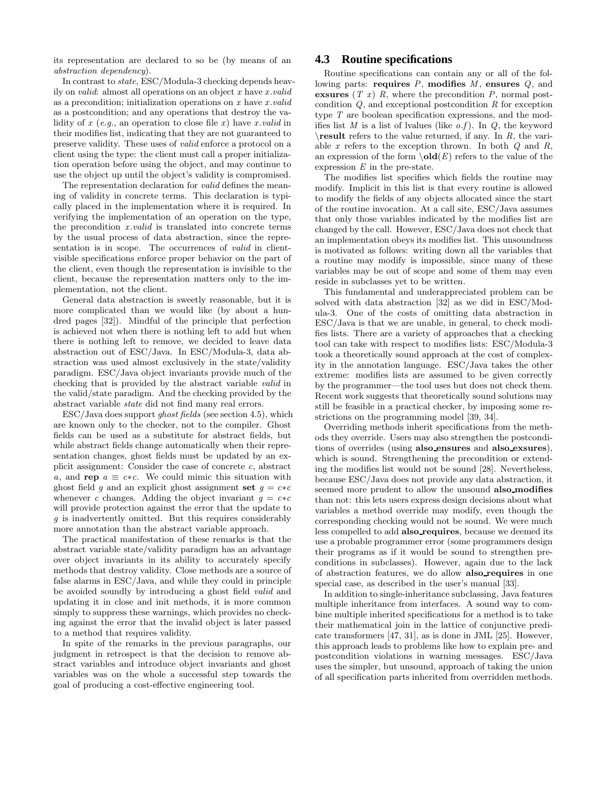its representation are declared to so be (by means of an *abstraction dependency*).

In contrast to *state*, ESC/Modula-3 checking depends heavily on *valid*: almost all operations on an object *x* have *x.valid* as a precondition; initialization operations on *x* have *x.valid* as a postcondition; and any operations that destroy the validity of *x* (*e.g.*, an operation to close file *x*) have *x.valid* in their modifies list, indicating that they are not guaranteed to preserve validity. These uses of *valid* enforce a protocol on a client using the type: the client must call a proper initialization operation before using the object, and may continue to use the object up until the object's validity is compromised.

The representation declaration for *valid* defines the meaning of validity in concrete terms. This declaration is typically placed in the implementation where it is required. In verifying the implementation of an operation on the type, the precondition *x.valid* is translated into concrete terms by the usual process of data abstraction, since the representation is in scope. The occurrences of *valid* in clientvisible specifications enforce proper behavior on the part of the client, even though the representation is invisible to the client, because the representation matters only to the implementation, not the client.

General data abstraction is sweetly reasonable, but it is more complicated than we would like (by about a hundred pages [32]). Mindful of the principle that perfection is achieved not when there is nothing left to add but when there is nothing left to remove, we decided to leave data abstraction out of ESC/Java. In ESC/Modula-3, data abstraction was used almost exclusively in the state/validity paradigm. ESC/Java object invariants provide much of the checking that is provided by the abstract variable *valid* in the valid/state paradigm. And the checking provided by the abstract variable *state* did not find many real errors.

ESC/Java does support *ghost fields* (see section 4.5), which are known only to the checker, not to the compiler. Ghost fields can be used as a substitute for abstract fields, but while abstract fields change automatically when their representation changes, ghost fields must be updated by an explicit assignment: Consider the case of concrete *c*, abstract *a*, and **rep**  $a \equiv c \cdot c$ . We could mimic this situation with ghost field *g* and an explicit ghost assignment **set**  $g = c * c$ whenever *c* changes. Adding the object invariant  $g = c * c$ will provide protection against the error that the update to *g* is inadvertently omitted. But this requires considerably more annotation than the abstract variable approach.

The practical manifestation of these remarks is that the abstract variable state/validity paradigm has an advantage over object invariants in its ability to accurately specify methods that destroy validity. Close methods are a source of false alarms in ESC/Java, and while they could in principle be avoided soundly by introducing a ghost field *valid* and updating it in close and init methods, it is more common simply to suppress these warnings, which provides no checking against the error that the invalid object is later passed to a method that requires validity.

In spite of the remarks in the previous paragraphs, our judgment in retrospect is that the decision to remove abstract variables and introduce object invariants and ghost variables was on the whole a successful step towards the goal of producing a cost-effective engineering tool.

## **4.3 Routine specifications**

Routine specifications can contain any or all of the following parts: **requires** *P*, **modifies** *M* , **ensures** *Q*, and **exsures** (*T x*) *R*, where the precondition *P*, normal postcondition *Q*, and exceptional postcondition *R* for exception type *T* are boolean specification expressions, and the modifies list *M* is a list of lvalues (like  $o.f$ ). In *Q*, the keyword \**result** refers to the value returned, if any. In *R*, the variable *x* refers to the exception thrown. In both *Q* and *R*, an expression of the form  $\text{old}(E)$  refers to the value of the expression *E* in the pre-state.

The modifies list specifies which fields the routine may modify. Implicit in this list is that every routine is allowed to modify the fields of any objects allocated since the start of the routine invocation. At a call site, ESC/Java assumes that only those variables indicated by the modifies list are changed by the call. However, ESC/Java does not check that an implementation obeys its modifies list. This unsoundness is motivated as follows: writing down all the variables that a routine may modify is impossible, since many of these variables may be out of scope and some of them may even reside in subclasses yet to be written.

This fundamental and underappreciated problem can be solved with data abstraction [32] as we did in ESC/Modula-3. One of the costs of omitting data abstraction in ESC/Java is that we are unable, in general, to check modifies lists. There are a variety of approaches that a checking tool can take with respect to modifies lists: ESC/Modula-3 took a theoretically sound approach at the cost of complexity in the annotation language. ESC/Java takes the other extreme: modifies lists are assumed to be given correctly by the programmer—the tool uses but does not check them. Recent work suggests that theoretically sound solutions may still be feasible in a practical checker, by imposing some restrictions on the programming model [39, 34].

Overriding methods inherit specifications from the methods they override. Users may also strengthen the postconditions of overrides (using **also ensures** and **also exsures**), which is sound. Strengthening the precondition or extending the modifies list would not be sound [28]. Nevertheless, because ESC/Java does not provide any data abstraction, it seemed more prudent to allow the unsound **also modifies** than not: this lets users express design decisions about what variables a method override may modify, even though the corresponding checking would not be sound. We were much less compelled to add **also requires**, because we deemed its use a probable programmer error (some programmers design their programs as if it would be sound to strengthen preconditions in subclasses). However, again due to the lack of abstraction features, we do allow **also requires** in one special case, as described in the user's manual [33].

In addition to single-inheritance subclassing, Java features multiple inheritance from interfaces. A sound way to combine multiple inherited specifications for a method is to take their mathematical join in the lattice of conjunctive predicate transformers [47, 31], as is done in JML [25]. However, this approach leads to problems like how to explain pre- and postcondition violations in warning messages. ESC/Java uses the simpler, but unsound, approach of taking the union of all specification parts inherited from overridden methods.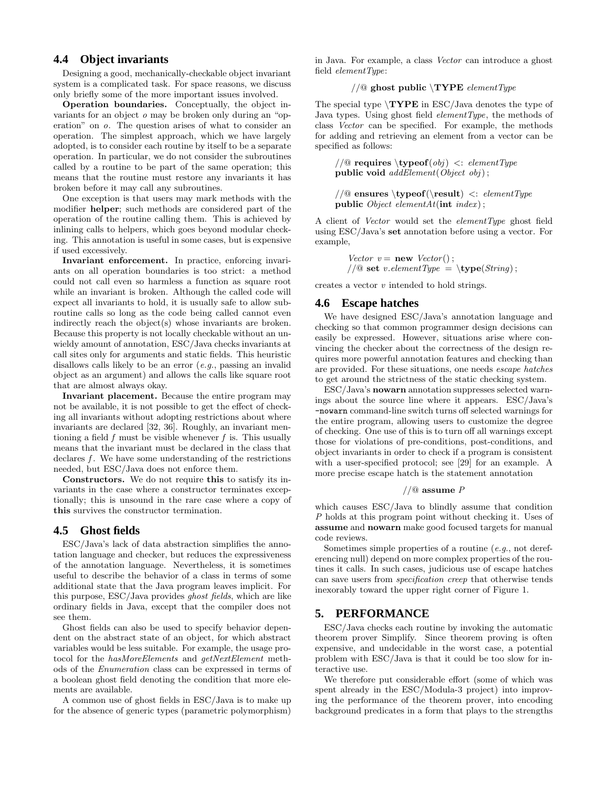## **4.4 Object invariants**

Designing a good, mechanically-checkable object invariant system is a complicated task. For space reasons, we discuss only briefly some of the more important issues involved.

**Operation boundaries.** Conceptually, the object invariants for an object *o* may be broken only during an "operation" on *o*. The question arises of what to consider an operation. The simplest approach, which we have largely adopted, is to consider each routine by itself to be a separate operation. In particular, we do not consider the subroutines called by a routine to be part of the same operation; this means that the routine must restore any invariants it has broken before it may call any subroutines.

One exception is that users may mark methods with the modifier **helper**; such methods are considered part of the operation of the routine calling them. This is achieved by inlining calls to helpers, which goes beyond modular checking. This annotation is useful in some cases, but is expensive if used excessively.

**Invariant enforcement.** In practice, enforcing invariants on all operation boundaries is too strict: a method could not call even so harmless a function as square root while an invariant is broken. Although the called code will expect all invariants to hold, it is usually safe to allow subroutine calls so long as the code being called cannot even indirectly reach the object(s) whose invariants are broken. Because this property is not locally checkable without an unwieldy amount of annotation, ESC/Java checks invariants at call sites only for arguments and static fields. This heuristic disallows calls likely to be an error (*e.g.*, passing an invalid object as an argument) and allows the calls like square root that are almost always okay.

**Invariant placement.** Because the entire program may not be available, it is not possible to get the effect of checking all invariants without adopting restrictions about where invariants are declared [32, 36]. Roughly, an invariant mentioning a field *f* must be visible whenever *f* is. This usually means that the invariant must be declared in the class that declares *f*. We have some understanding of the restrictions needed, but ESC/Java does not enforce them.

**Constructors.** We do not require **this** to satisfy its invariants in the case where a constructor terminates exceptionally; this is unsound in the rare case where a copy of **this** survives the constructor termination.

#### **4.5 Ghost fields**

ESC/Java's lack of data abstraction simplifies the annotation language and checker, but reduces the expressiveness of the annotation language. Nevertheless, it is sometimes useful to describe the behavior of a class in terms of some additional state that the Java program leaves implicit. For this purpose, ESC/Java provides *ghost fields*, which are like ordinary fields in Java, except that the compiler does not see them.

Ghost fields can also be used to specify behavior dependent on the abstract state of an object, for which abstract variables would be less suitable. For example, the usage protocol for the *hasMoreElements* and *getNextElement* methods of the *Enumeration* class can be expressed in terms of a boolean ghost field denoting the condition that more elements are available.

A common use of ghost fields in ESC/Java is to make up for the absence of generic types (parametric polymorphism)

in Java. For example, a class *Vector* can introduce a ghost field *elementType*:

## *//*@ **ghost public** \**TYPE** *elementType*

The special type \**TYPE** in ESC/Java denotes the type of Java types. Using ghost field *elementType*, the methods of class *Vector* can be specified. For example, the methods for adding and retrieving an element from a vector can be specified as follows:

*//*@ **requires** \**typeof** (*obj* ) *<*: *elementType* **public void** *addElement*(*Object obj* ) ;

*//*@ **ensures** \**typeof** (\**result**) *<*: *elementType* **public** *Object elementAt*(**int** *index*) ;

A client of *Vector* would set the *elementType* ghost field using ESC/Java's **set** annotation before using a vector. For example,

> $Vector v = new Vector();$  $//@$  **set**  $v$ *.elementType* =  $\text{type}(String)$ ;

creates a vector *v* intended to hold strings.

## **4.6 Escape hatches**

We have designed ESC/Java's annotation language and checking so that common programmer design decisions can easily be expressed. However, situations arise where convincing the checker about the correctness of the design requires more powerful annotation features and checking than are provided. For these situations, one needs *escape hatches* to get around the strictness of the static checking system.

ESC/Java's **nowarn** annotation suppresses selected warnings about the source line where it appears. ESC/Java's -nowarn command-line switch turns off selected warnings for the entire program, allowing users to customize the degree of checking. One use of this is to turn off all warnings except those for violations of pre-conditions, post-conditions, and object invariants in order to check if a program is consistent with a user-specified protocol; see [29] for an example. A more precise escape hatch is the statement annotation

$$
/\sqrt{a}
$$
 assume *P*

which causes ESC/Java to blindly assume that condition *P* holds at this program point without checking it. Uses of **assume** and **nowarn** make good focused targets for manual code reviews.

Sometimes simple properties of a routine (*e.g.*, not dereferencing null) depend on more complex properties of the routines it calls. In such cases, judicious use of escape hatches can save users from *specification creep* that otherwise tends inexorably toward the upper right corner of Figure 1.

## **5. PERFORMANCE**

ESC/Java checks each routine by invoking the automatic theorem prover Simplify. Since theorem proving is often expensive, and undecidable in the worst case, a potential problem with ESC/Java is that it could be too slow for interactive use.

We therefore put considerable effort (some of which was spent already in the ESC/Modula-3 project) into improving the performance of the theorem prover, into encoding background predicates in a form that plays to the strengths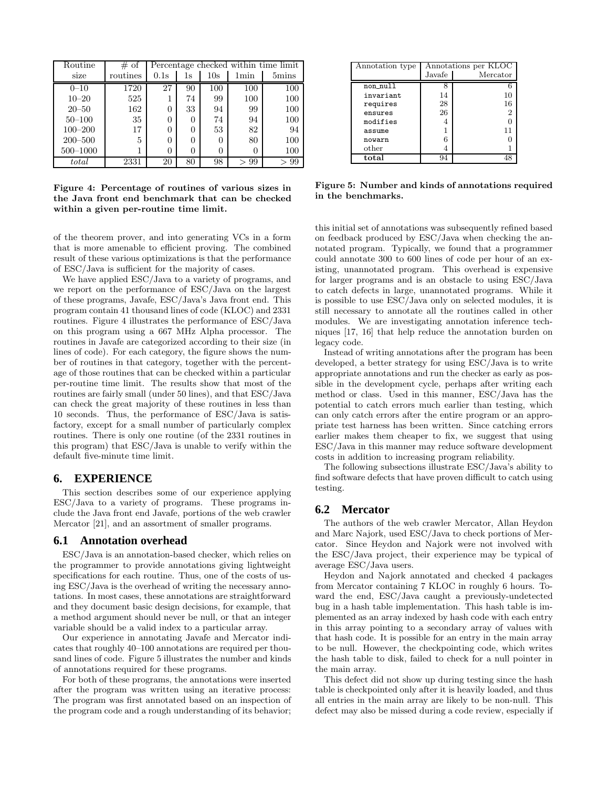| Routine      | # of     |      |    |     |                  | Percentage checked within time limit |
|--------------|----------|------|----|-----|------------------|--------------------------------------|
| size         | routines | 0.1s | 1s | 10s | 1 <sub>min</sub> | $5 \text{mins}$                      |
| $0 - 10$     | 1720     | 27   | 90 | 100 | 100              | 100                                  |
| $10 - 20$    | 525      |      | 74 | 99  | 100              | 100                                  |
| $20 - 50$    | 162      |      | 33 | 94  | 99               | 100                                  |
| $50 - 100$   | 35       | 0    | 0  | 74  | 94               | 100                                  |
| $100 - 200$  | 17       |      | 0  | 53  | 82               | 94                                   |
| $200 - 500$  | 5        |      | 0  | 0   | 80               | 100                                  |
| $500 - 1000$ |          |      | 0  | 0   | 0                | 100                                  |
| $_{total}$   | 2331     | 20   | 80 | 98  | 99               | >99                                  |

**Figure 4: Percentage of routines of various sizes in the Java front end benchmark that can be checked within a given per-routine time limit.**

of the theorem prover, and into generating VCs in a form that is more amenable to efficient proving. The combined result of these various optimizations is that the performance of ESC/Java is sufficient for the majority of cases.

We have applied ESC/Java to a variety of programs, and we report on the performance of ESC/Java on the largest of these programs, Javafe, ESC/Java's Java front end. This program contain 41 thousand lines of code (KLOC) and 2331 routines. Figure 4 illustrates the performance of ESC/Java on this program using a 667 MHz Alpha processor. The routines in Javafe are categorized according to their size (in lines of code). For each category, the figure shows the number of routines in that category, together with the percentage of those routines that can be checked within a particular per-routine time limit. The results show that most of the routines are fairly small (under 50 lines), and that ESC/Java can check the great majority of these routines in less than 10 seconds. Thus, the performance of ESC/Java is satisfactory, except for a small number of particularly complex routines. There is only one routine (of the 2331 routines in this program) that ESC/Java is unable to verify within the default five-minute time limit.

## **6. EXPERIENCE**

This section describes some of our experience applying ESC/Java to a variety of programs. These programs include the Java front end Javafe, portions of the web crawler Mercator [21], and an assortment of smaller programs.

## **6.1 Annotation overhead**

ESC/Java is an annotation-based checker, which relies on the programmer to provide annotations giving lightweight specifications for each routine. Thus, one of the costs of using ESC/Java is the overhead of writing the necessary annotations. In most cases, these annotations are straightforward and they document basic design decisions, for example, that a method argument should never be null, or that an integer variable should be a valid index to a particular array.

Our experience in annotating Javafe and Mercator indicates that roughly 40–100 annotations are required per thousand lines of code. Figure 5 illustrates the number and kinds of annotations required for these programs.

For both of these programs, the annotations were inserted after the program was written using an iterative process: The program was first annotated based on an inspection of the program code and a rough understanding of its behavior;

| Annotation type | Annotations per KLOC |          |  |  |
|-----------------|----------------------|----------|--|--|
|                 | Javafe               | Mercator |  |  |
| non_null        |                      |          |  |  |
| invariant       | 14                   | 10       |  |  |
| requires        | 28                   | 16       |  |  |
| ensures         | 26                   | 2        |  |  |
| modifies        | 4                    |          |  |  |
| assume          |                      | 11       |  |  |
| nowarn          | 6                    |          |  |  |
| other           |                      |          |  |  |
| total           |                      |          |  |  |

**Figure 5: Number and kinds of annotations required in the benchmarks.**

this initial set of annotations was subsequently refined based on feedback produced by ESC/Java when checking the annotated program. Typically, we found that a programmer could annotate 300 to 600 lines of code per hour of an existing, unannotated program. This overhead is expensive for larger programs and is an obstacle to using ESC/Java to catch defects in large, unannotated programs. While it is possible to use ESC/Java only on selected modules, it is still necessary to annotate all the routines called in other modules. We are investigating annotation inference techniques [17, 16] that help reduce the annotation burden on legacy code.

Instead of writing annotations after the program has been developed, a better strategy for using ESC/Java is to write appropriate annotations and run the checker as early as possible in the development cycle, perhaps after writing each method or class. Used in this manner, ESC/Java has the potential to catch errors much earlier than testing, which can only catch errors after the entire program or an appropriate test harness has been written. Since catching errors earlier makes them cheaper to fix, we suggest that using ESC/Java in this manner may reduce software development costs in addition to increasing program reliability.

The following subsections illustrate ESC/Java's ability to find software defects that have proven difficult to catch using testing.

## **6.2 Mercator**

The authors of the web crawler Mercator, Allan Heydon and Marc Najork, used ESC/Java to check portions of Mercator. Since Heydon and Najork were not involved with the ESC/Java project, their experience may be typical of average ESC/Java users.

Heydon and Najork annotated and checked 4 packages from Mercator containing 7 KLOC in roughly 6 hours. Toward the end, ESC/Java caught a previously-undetected bug in a hash table implementation. This hash table is implemented as an array indexed by hash code with each entry in this array pointing to a secondary array of values with that hash code. It is possible for an entry in the main array to be null. However, the checkpointing code, which writes the hash table to disk, failed to check for a null pointer in the main array.

This defect did not show up during testing since the hash table is checkpointed only after it is heavily loaded, and thus all entries in the main array are likely to be non-null. This defect may also be missed during a code review, especially if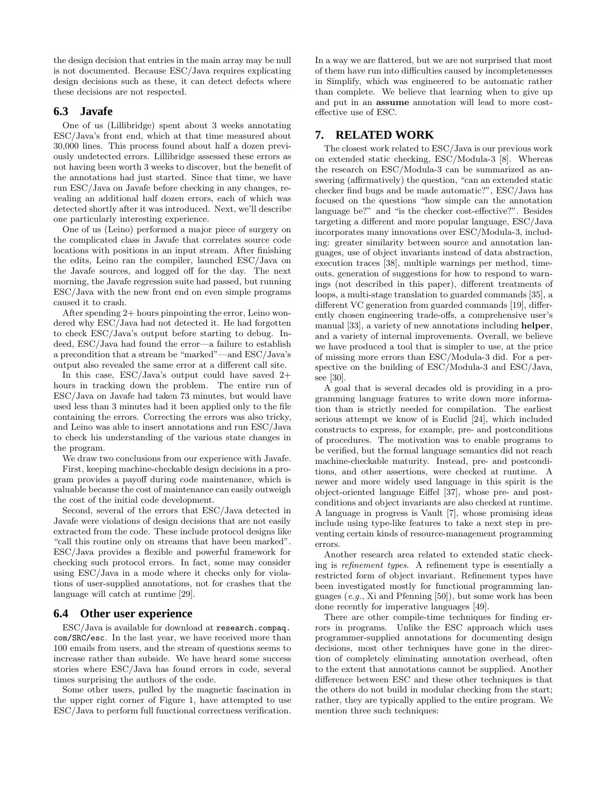the design decision that entries in the main array may be null is not documented. Because ESC/Java requires explicating design decisions such as these, it can detect defects where these decisions are not respected.

#### **6.3 Javafe**

One of us (Lillibridge) spent about 3 weeks annotating ESC/Java's front end, which at that time measured about 30,000 lines. This process found about half a dozen previously undetected errors. Lillibridge assessed these errors as not having been worth 3 weeks to discover, but the benefit of the annotations had just started. Since that time, we have run ESC/Java on Javafe before checking in any changes, revealing an additional half dozen errors, each of which was detected shortly after it was introduced. Next, we'll describe one particularly interesting experience.

One of us (Leino) performed a major piece of surgery on the complicated class in Javafe that correlates source code locations with positions in an input stream. After finishing the edits, Leino ran the compiler, launched ESC/Java on the Javafe sources, and logged off for the day. The next morning, the Javafe regression suite had passed, but running ESC/Java with the new front end on even simple programs caused it to crash.

After spending 2+ hours pinpointing the error, Leino wondered why ESC/Java had not detected it. He had forgotten to check ESC/Java's output before starting to debug. Indeed, ESC/Java had found the error—a failure to establish a precondition that a stream be "marked"—and ESC/Java's output also revealed the same error at a different call site.

In this case, ESC/Java's output could have saved 2+ hours in tracking down the problem. The entire run of ESC/Java on Javafe had taken 73 minutes, but would have used less than 3 minutes had it been applied only to the file containing the errors. Correcting the errors was also tricky, and Leino was able to insert annotations and run ESC/Java to check his understanding of the various state changes in the program.

We draw two conclusions from our experience with Javafe.

First, keeping machine-checkable design decisions in a program provides a payoff during code maintenance, which is valuable because the cost of maintenance can easily outweigh the cost of the initial code development.

Second, several of the errors that ESC/Java detected in Javafe were violations of design decisions that are not easily extracted from the code. These include protocol designs like "call this routine only on streams that have been marked". ESC/Java provides a flexible and powerful framework for checking such protocol errors. In fact, some may consider using ESC/Java in a mode where it checks only for violations of user-supplied annotations, not for crashes that the language will catch at runtime [29].

#### **6.4 Other user experience**

ESC/Java is available for download at research.compaq. com/SRC/esc. In the last year, we have received more than 100 emails from users, and the stream of questions seems to increase rather than subside. We have heard some success stories where ESC/Java has found errors in code, several times surprising the authors of the code.

Some other users, pulled by the magnetic fascination in the upper right corner of Figure 1, have attempted to use ESC/Java to perform full functional correctness verification.

In a way we are flattered, but we are not surprised that most of them have run into difficulties caused by incompletenesses in Simplify, which was engineered to be automatic rather than complete. We believe that learning when to give up and put in an **assume** annotation will lead to more costeffective use of ESC.

## **7. RELATED WORK**

The closest work related to ESC/Java is our previous work on extended static checking, ESC/Modula-3 [8]. Whereas the research on ESC/Modula-3 can be summarized as answering (affirmatively) the question, "can an extended static checker find bugs and be made automatic?", ESC/Java has focused on the questions "how simple can the annotation language be?" and "is the checker cost-effective?". Besides targeting a different and more popular language, ESC/Java incorporates many innovations over ESC/Modula-3, including: greater similarity between source and annotation languages, use of object invariants instead of data abstraction, execution traces [38], multiple warnings per method, timeouts, generation of suggestions for how to respond to warnings (not described in this paper), different treatments of loops, a multi-stage translation to guarded commands [35], a different VC generation from guarded commands [19], differently chosen engineering trade-offs, a comprehensive user's manual [33], a variety of new annotations including **helper**, and a variety of internal improvements. Overall, we believe we have produced a tool that is simpler to use, at the price of missing more errors than ESC/Modula-3 did. For a perspective on the building of ESC/Modula-3 and ESC/Java, see [30].

A goal that is several decades old is providing in a programming language features to write down more information than is strictly needed for compilation. The earliest serious attempt we know of is Euclid [24], which included constructs to express, for example, pre- and postconditions of procedures. The motivation was to enable programs to be verified, but the formal language semantics did not reach machine-checkable maturity. Instead, pre- and postconditions, and other assertions, were checked at runtime. A newer and more widely used language in this spirit is the object-oriented language Eiffel [37], whose pre- and postconditions and object invariants are also checked at runtime. A language in progress is Vault [7], whose promising ideas include using type-like features to take a next step in preventing certain kinds of resource-management programming errors.

Another research area related to extended static checking is *refinement types*. A refinement type is essentially a restricted form of object invariant. Refinement types have been investigated mostly for functional programming languages (*e.g.*, Xi and Pfenning [50]), but some work has been done recently for imperative languages [49].

There are other compile-time techniques for finding errors in programs. Unlike the ESC approach which uses programmer-supplied annotations for documenting design decisions, most other techniques have gone in the direction of completely eliminating annotation overhead, often to the extent that annotations cannot be supplied. Another difference between ESC and these other techniques is that the others do not build in modular checking from the start; rather, they are typically applied to the entire program. We mention three such techniques: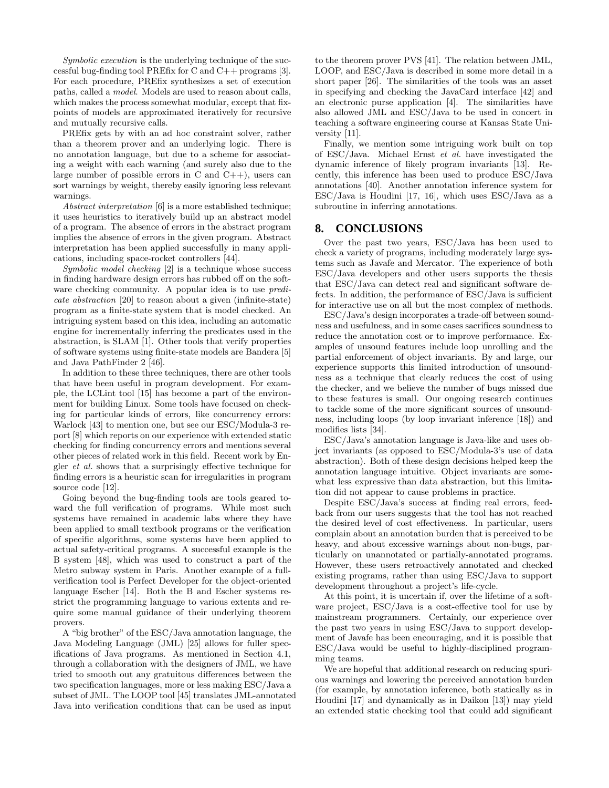*Symbolic execution* is the underlying technique of the successful bug-finding tool PREfix for C and C++ programs [3]. For each procedure, PREfix synthesizes a set of execution paths, called a *model*. Models are used to reason about calls, which makes the process somewhat modular, except that fixpoints of models are approximated iteratively for recursive and mutually recursive calls.

PREfix gets by with an ad hoc constraint solver, rather than a theorem prover and an underlying logic. There is no annotation language, but due to a scheme for associating a weight with each warning (and surely also due to the large number of possible errors in  $C$  and  $C++$ ), users can sort warnings by weight, thereby easily ignoring less relevant warnings.

*Abstract interpretation* [6] is a more established technique; it uses heuristics to iteratively build up an abstract model of a program. The absence of errors in the abstract program implies the absence of errors in the given program. Abstract interpretation has been applied successfully in many applications, including space-rocket controllers [44].

*Symbolic model checking* [2] is a technique whose success in finding hardware design errors has rubbed off on the software checking community. A popular idea is to use *predicate abstraction* [20] to reason about a given (infinite-state) program as a finite-state system that is model checked. An intriguing system based on this idea, including an automatic engine for incrementally inferring the predicates used in the abstraction, is SLAM [1]. Other tools that verify properties of software systems using finite-state models are Bandera [5] and Java PathFinder 2 [46].

In addition to these three techniques, there are other tools that have been useful in program development. For example, the LCLint tool [15] has become a part of the environment for building Linux. Some tools have focused on checking for particular kinds of errors, like concurrency errors: Warlock [43] to mention one, but see our ESC/Modula-3 report [8] which reports on our experience with extended static checking for finding concurrency errors and mentions several other pieces of related work in this field. Recent work by Engler *et al.* shows that a surprisingly effective technique for finding errors is a heuristic scan for irregularities in program source code [12].

Going beyond the bug-finding tools are tools geared toward the full verification of programs. While most such systems have remained in academic labs where they have been applied to small textbook programs or the verification of specific algorithms, some systems have been applied to actual safety-critical programs. A successful example is the B system [48], which was used to construct a part of the Metro subway system in Paris. Another example of a fullverification tool is Perfect Developer for the object-oriented language Escher [14]. Both the B and Escher systems restrict the programming language to various extents and require some manual guidance of their underlying theorem provers.

A "big brother" of the ESC/Java annotation language, the Java Modeling Language (JML) [25] allows for fuller specifications of Java programs. As mentioned in Section 4.1, through a collaboration with the designers of JML, we have tried to smooth out any gratuitous differences between the two specification languages, more or less making ESC/Java a subset of JML. The LOOP tool [45] translates JML-annotated Java into verification conditions that can be used as input

to the theorem prover PVS [41]. The relation between JML, LOOP, and ESC/Java is described in some more detail in a short paper [26]. The similarities of the tools was an asset in specifying and checking the JavaCard interface [42] and an electronic purse application [4]. The similarities have also allowed JML and ESC/Java to be used in concert in teaching a software engineering course at Kansas State University [11].

Finally, we mention some intriguing work built on top of ESC/Java. Michael Ernst *et al.* have investigated the dynamic inference of likely program invariants [13]. Recently, this inference has been used to produce ESC/Java annotations [40]. Another annotation inference system for ESC/Java is Houdini [17, 16], which uses ESC/Java as a subroutine in inferring annotations.

## **8. CONCLUSIONS**

Over the past two years, ESC/Java has been used to check a variety of programs, including moderately large systems such as Javafe and Mercator. The experience of both ESC/Java developers and other users supports the thesis that ESC/Java can detect real and significant software defects. In addition, the performance of ESC/Java is sufficient for interactive use on all but the most complex of methods.

ESC/Java's design incorporates a trade-off between soundness and usefulness, and in some cases sacrifices soundness to reduce the annotation cost or to improve performance. Examples of unsound features include loop unrolling and the partial enforcement of object invariants. By and large, our experience supports this limited introduction of unsoundness as a technique that clearly reduces the cost of using the checker, and we believe the number of bugs missed due to these features is small. Our ongoing research continues to tackle some of the more significant sources of unsoundness, including loops (by loop invariant inference [18]) and modifies lists [34].

ESC/Java's annotation language is Java-like and uses object invariants (as opposed to ESC/Modula-3's use of data abstraction). Both of these design decisions helped keep the annotation language intuitive. Object invariants are somewhat less expressive than data abstraction, but this limitation did not appear to cause problems in practice.

Despite ESC/Java's success at finding real errors, feedback from our users suggests that the tool has not reached the desired level of cost effectiveness. In particular, users complain about an annotation burden that is perceived to be heavy, and about excessive warnings about non-bugs, particularly on unannotated or partially-annotated programs. However, these users retroactively annotated and checked existing programs, rather than using ESC/Java to support development throughout a project's life-cycle.

At this point, it is uncertain if, over the lifetime of a software project, ESC/Java is a cost-effective tool for use by mainstream programmers. Certainly, our experience over the past two years in using ESC/Java to support development of Javafe has been encouraging, and it is possible that ESC/Java would be useful to highly-disciplined programming teams.

We are hopeful that additional research on reducing spurious warnings and lowering the perceived annotation burden (for example, by annotation inference, both statically as in Houdini [17] and dynamically as in Daikon [13]) may yield an extended static checking tool that could add significant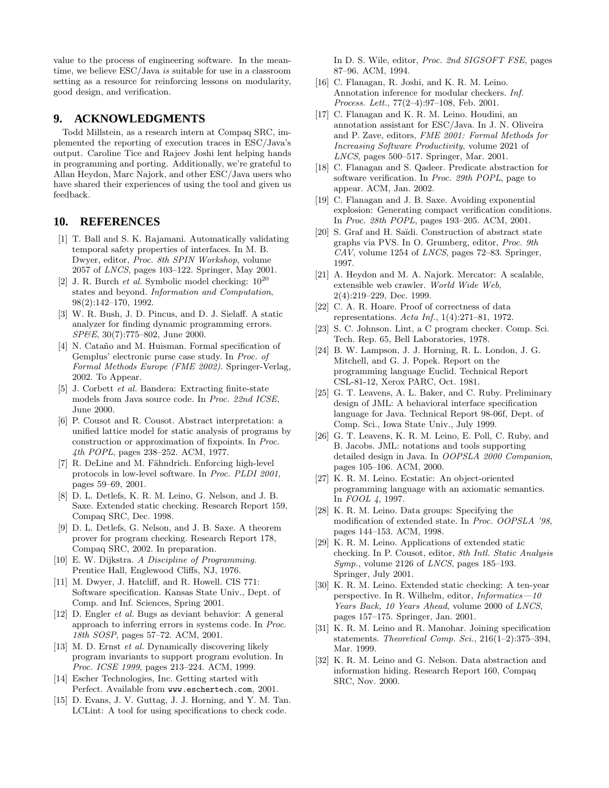value to the process of engineering software. In the meantime, we believe ESC/Java *is* suitable for use in a classroom setting as a resource for reinforcing lessons on modularity, good design, and verification.

## **9. ACKNOWLEDGMENTS**

Todd Millstein, as a research intern at Compaq SRC, implemented the reporting of execution traces in ESC/Java's output. Caroline Tice and Rajeev Joshi lent helping hands in programming and porting. Additionally, we're grateful to Allan Heydon, Marc Najork, and other ESC/Java users who have shared their experiences of using the tool and given us feedback.

### **10. REFERENCES**

- [1] T. Ball and S. K. Rajamani. Automatically validating temporal safety properties of interfaces. In M. B. Dwyer, editor, *Proc. 8th SPIN Workshop*, volume 2057 of *LNCS*, pages 103–122. Springer, May 2001.
- [2] J. R. Burch *et al.* Symbolic model checking:  $10^{20}$ states and beyond. *Information and Computation*, 98(2):142–170, 1992.
- [3] W. R. Bush, J. D. Pincus, and D. J. Sielaff. A static analyzer for finding dynamic programming errors. *SP&E*, 30(7):775–802, June 2000.
- [4] N. Cataño and M. Huisman. Formal specification of Gemplus' electronic purse case study. In *Proc. of Formal Methods Europe (FME 2002)*. Springer-Verlag, 2002. To Appear.
- [5] J. Corbett *et al.* Bandera: Extracting finite-state models from Java source code. In *Proc. 22nd ICSE*, June 2000.
- [6] P. Cousot and R. Cousot. Abstract interpretation: a unified lattice model for static analysis of programs by construction or approximation of fixpoints. In *Proc. 4th POPL*, pages 238–252. ACM, 1977.
- [7] R. DeLine and M. Fähndrich. Enforcing high-level protocols in low-level software. In *Proc. PLDI 2001*, pages 59–69, 2001.
- [8] D. L. Detlefs, K. R. M. Leino, G. Nelson, and J. B. Saxe. Extended static checking. Research Report 159, Compaq SRC, Dec. 1998.
- [9] D. L. Detlefs, G. Nelson, and J. B. Saxe. A theorem prover for program checking. Research Report 178, Compaq SRC, 2002. In preparation.
- [10] E. W. Dijkstra. *A Discipline of Programming*. Prentice Hall, Englewood Cliffs, NJ, 1976.
- [11] M. Dwyer, J. Hatcliff, and R. Howell. CIS 771: Software specification. Kansas State Univ., Dept. of Comp. and Inf. Sciences, Spring 2001.
- [12] D. Engler *et al.* Bugs as deviant behavior: A general approach to inferring errors in systems code. In *Proc. 18th SOSP*, pages 57–72. ACM, 2001.
- [13] M. D. Ernst *et al.* Dynamically discovering likely program invariants to support program evolution. In *Proc. ICSE 1999*, pages 213–224. ACM, 1999.
- [14] Escher Technologies, Inc. Getting started with Perfect. Available from www.eschertech.com, 2001.
- [15] D. Evans, J. V. Guttag, J. J. Horning, and Y. M. Tan. LCLint: A tool for using specifications to check code.

In D. S. Wile, editor, *Proc. 2nd SIGSOFT FSE*, pages 87–96. ACM, 1994.

- [16] C. Flanagan, R. Joshi, and K. R. M. Leino. Annotation inference for modular checkers. *Inf. Process. Lett.*, 77(2–4):97–108, Feb. 2001.
- [17] C. Flanagan and K. R. M. Leino. Houdini, an annotation assistant for ESC/Java. In J. N. Oliveira and P. Zave, editors, *FME 2001: Formal Methods for Increasing Software Productivity*, volume 2021 of *LNCS*, pages 500–517. Springer, Mar. 2001.
- [18] C. Flanagan and S. Qadeer. Predicate abstraction for software verification. In *Proc. 29th POPL*, page to appear. ACM, Jan. 2002.
- [19] C. Flanagan and J. B. Saxe. Avoiding exponential explosion: Generating compact verification conditions. In *Proc. 28th POPL*, pages 193–205. ACM, 2001.
- [20] S. Graf and H. Saïdi. Construction of abstract state graphs via PVS. In O. Grumberg, editor, *Proc. 9th CAV*, volume 1254 of *LNCS*, pages 72–83. Springer, 1997.
- [21] A. Heydon and M. A. Najork. Mercator: A scalable, extensible web crawler. *World Wide Web*, 2(4):219–229, Dec. 1999.
- [22] C. A. R. Hoare. Proof of correctness of data representations. *Acta Inf.*, 1(4):271–81, 1972.
- [23] S. C. Johnson. Lint, a C program checker. Comp. Sci. Tech. Rep. 65, Bell Laboratories, 1978.
- [24] B. W. Lampson, J. J. Horning, R. L. London, J. G. Mitchell, and G. J. Popek. Report on the programming language Euclid. Technical Report CSL-81-12, Xerox PARC, Oct. 1981.
- [25] G. T. Leavens, A. L. Baker, and C. Ruby. Preliminary design of JML: A behavioral interface specification language for Java. Technical Report 98-06f, Dept. of Comp. Sci., Iowa State Univ., July 1999.
- [26] G. T. Leavens, K. R. M. Leino, E. Poll, C. Ruby, and B. Jacobs. JML: notations and tools supporting detailed design in Java. In *OOPSLA 2000 Companion*, pages 105–106. ACM, 2000.
- [27] K. R. M. Leino. Ecstatic: An object-oriented programming language with an axiomatic semantics. In *FOOL 4*, 1997.
- [28] K. R. M. Leino. Data groups: Specifying the modification of extended state. In *Proc. OOPSLA '98*, pages 144–153. ACM, 1998.
- [29] K. R. M. Leino. Applications of extended static checking. In P. Cousot, editor, *8th Intl. Static Analysis Symp.*, volume 2126 of *LNCS*, pages 185–193. Springer, July 2001.
- [30] K. R. M. Leino. Extended static checking: A ten-year perspective. In R. Wilhelm, editor, *Informatics—10 Years Back, 10 Years Ahead*, volume 2000 of *LNCS*, pages 157–175. Springer, Jan. 2001.
- [31] K. R. M. Leino and R. Manohar. Joining specification statements. *Theoretical Comp. Sci.*, 216(1–2):375–394, Mar. 1999.
- [32] K. R. M. Leino and G. Nelson. Data abstraction and information hiding. Research Report 160, Compaq SRC, Nov. 2000.